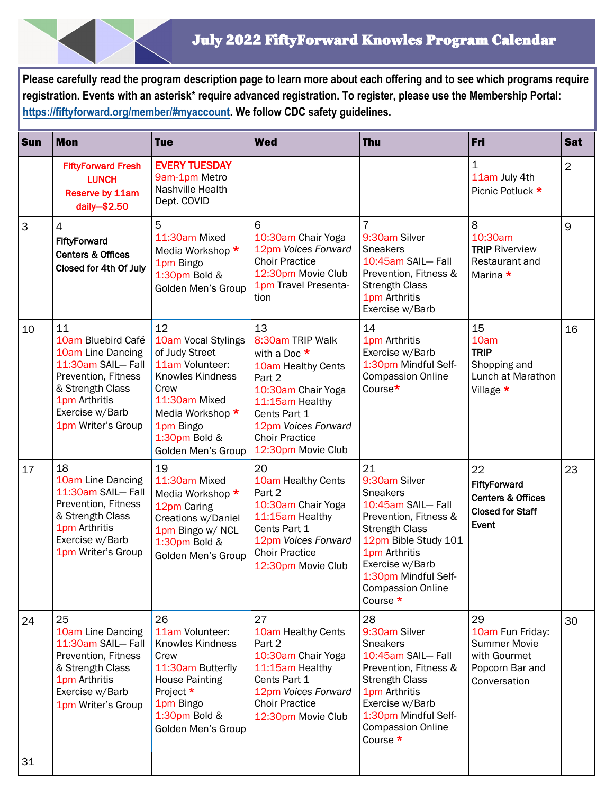**Please carefully read the program description page to learn more about each offering and to see which programs require registration. Events with an asterisk\* require advanced registration. To register, please use the Membership Portal: [https://fiftyforward.org/member/#myaccount.](https://fiftyforward.org/member/#myaccount) We follow CDC safety guidelines.** 

| <b>Sun</b> | <b>Mon</b>                                                                                                                                                              | <b>Tue</b>                                                                                                                                                                                 | <b>Wed</b>                                                                                                                                                                                              | <b>Thu</b>                                                                                                                                                                                                                                  | Fri                                                                                              | <b>Sat</b>     |
|------------|-------------------------------------------------------------------------------------------------------------------------------------------------------------------------|--------------------------------------------------------------------------------------------------------------------------------------------------------------------------------------------|---------------------------------------------------------------------------------------------------------------------------------------------------------------------------------------------------------|---------------------------------------------------------------------------------------------------------------------------------------------------------------------------------------------------------------------------------------------|--------------------------------------------------------------------------------------------------|----------------|
|            | <b>FiftyForward Fresh</b><br><b>LUNCH</b><br>Reserve by 11am<br>daily-\$2.50                                                                                            | <b>EVERY TUESDAY</b><br>9am-1pm Metro<br>Nashville Health<br>Dept. COVID                                                                                                                   |                                                                                                                                                                                                         |                                                                                                                                                                                                                                             | 1<br>11am July 4th<br>Picnic Potluck *                                                           | $\overline{2}$ |
| 3          | 4<br>FiftyForward<br><b>Centers &amp; Offices</b><br>Closed for 4th Of July                                                                                             | 5<br>11:30am Mixed<br>Media Workshop *<br>1pm Bingo<br>1:30pm Bold &<br>Golden Men's Group                                                                                                 | 6<br>10:30am Chair Yoga<br>12pm Voices Forward<br><b>Choir Practice</b><br>12:30pm Movie Club<br>1pm Travel Presenta-<br>tion                                                                           | $\overline{7}$<br>9:30am Silver<br><b>Sneakers</b><br>10:45am SAIL-Fall<br>Prevention, Fitness &<br><b>Strength Class</b><br>1pm Arthritis<br>Exercise w/Barb                                                                               | 8<br>10:30am<br><b>TRIP Riverview</b><br>Restaurant and<br>Marina *                              | 9              |
| 10         | 11<br>10am Bluebird Café<br>10am Line Dancing<br>11:30am SAIL-Fall<br>Prevention, Fitness<br>& Strength Class<br>1pm Arthritis<br>Exercise w/Barb<br>1pm Writer's Group | 12<br>10am Vocal Stylings<br>of Judy Street<br>11am Volunteer:<br><b>Knowles Kindness</b><br>Crew<br>11:30am Mixed<br>Media Workshop *<br>1pm Bingo<br>1:30pm Bold &<br>Golden Men's Group | 13<br>8:30am TRIP Walk<br>with a Doc $*$<br>10am Healthy Cents<br>Part 2<br>10:30am Chair Yoga<br>11:15am Healthy<br>Cents Part 1<br>12pm Voices Forward<br><b>Choir Practice</b><br>12:30pm Movie Club | 14<br>1pm Arthritis<br>Exercise w/Barb<br>1:30pm Mindful Self-<br><b>Compassion Online</b><br>Course*                                                                                                                                       | 15<br>10am<br><b>TRIP</b><br>Shopping and<br>Lunch at Marathon<br>Village *                      | 16             |
| 17         | 18<br>10am Line Dancing<br>11:30am SAIL- Fall<br>Prevention, Fitness<br>& Strength Class<br>1pm Arthritis<br>Exercise w/Barb<br>1pm Writer's Group                      | 19<br>11:30am Mixed<br>Media Workshop *<br>12pm Caring<br>Creations w/Daniel<br>1pm Bingo w/ NCL<br>1:30pm Bold &<br>Golden Men's Group                                                    | 20<br>10am Healthy Cents<br>Part 2<br>10:30am Chair Yoga<br>11:15am Healthy<br>Cents Part 1<br>12pm Voices Forward<br><b>Choir Practice</b><br>12:30pm Movie Club                                       | 21<br>9:30am Silver<br><b>Sneakers</b><br>10:45am SAIL-Fall<br>Prevention, Fitness &<br><b>Strength Class</b><br>12pm Bible Study 101<br>1pm Arthritis<br>Exercise w/Barb<br>1:30pm Mindful Self-<br><b>Compassion Online</b><br>Course $*$ | 22<br>FiftyForward<br><b>Centers &amp; Offices</b><br><b>Closed for Staff</b><br>Event           | 23             |
| 24         | 25<br>10am Line Dancing<br>11:30am SAIL-Fall<br>Prevention, Fitness<br>& Strength Class<br>1pm Arthritis<br>Exercise w/Barb<br>1pm Writer's Group                       | 26<br>11am Volunteer:<br>Knowles Kindness<br>Crew<br>11:30am Butterfly<br><b>House Painting</b><br>Project *<br>1pm Bingo<br>1:30pm Bold &<br>Golden Men's Group                           | 27<br>10am Healthy Cents<br>Part 2<br>10:30am Chair Yoga<br>11:15am Healthy<br>Cents Part 1<br>12pm Voices Forward<br><b>Choir Practice</b><br>12:30pm Movie Club                                       | 28<br>9:30am Silver<br><b>Sneakers</b><br>10:45am SAIL-Fall<br>Prevention, Fitness &<br><b>Strength Class</b><br>1pm Arthritis<br>Exercise w/Barb<br>1:30pm Mindful Self-<br><b>Compassion Online</b><br>Course $*$                         | 29<br>10am Fun Friday:<br><b>Summer Movie</b><br>with Gourmet<br>Popcorn Bar and<br>Conversation | 30             |
| 31         |                                                                                                                                                                         |                                                                                                                                                                                            |                                                                                                                                                                                                         |                                                                                                                                                                                                                                             |                                                                                                  |                |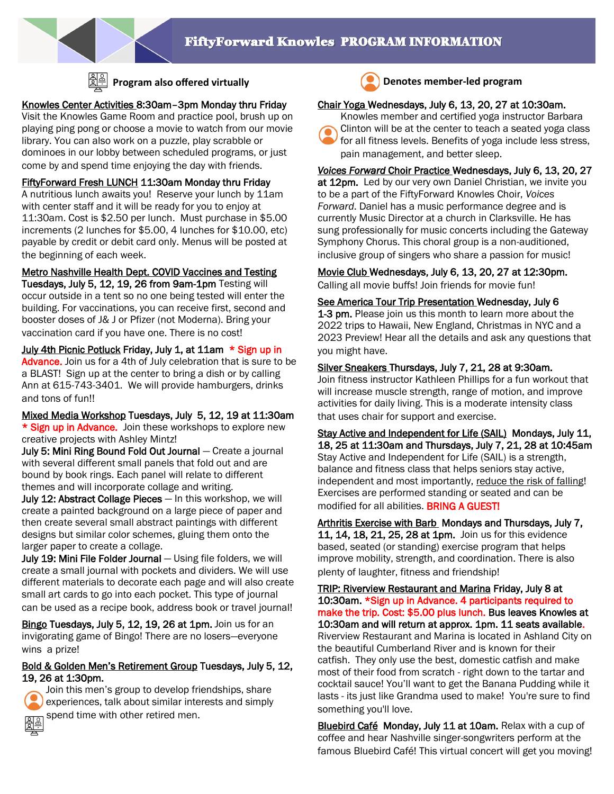

# Knowles Center Activities 8:30am–3pm Monday thru Friday

Visit the Knowles Game Room and practice pool, brush up on playing ping pong or choose a movie to watch from our movie library. You can also work on a puzzle, play scrabble or dominoes in our lobby between scheduled programs, or just come by and spend time enjoying the day with friends.

FiftyForward Fresh LUNCH 11:30am Monday thru Friday A nutritious lunch awaits you! Reserve your lunch by 11am with center staff and it will be ready for you to enjoy at 11:30am. Cost is \$2.50 per lunch. Must purchase in \$5.00 increments (2 lunches for \$5.00, 4 lunches for \$10.00, etc) payable by credit or debit card only. Menus will be posted at the beginning of each week.

Metro Nashville Health Dept. COVID Vaccines and Testing

Tuesdays, July 5, 12, 19, 26 from 9am-1pm Testing will occur outside in a tent so no one being tested will enter the building. For vaccinations, you can receive first, second and booster doses of J& J or Pfizer (not Moderna). Bring your vaccination card if you have one. There is no cost!

July 4th Picnic Potluck Friday, July 1, at 11am \* Sign up in Advance. Join us for a 4th of July celebration that is sure to be a BLAST! Sign up at the center to bring a dish or by calling Ann at 615-743-3401. We will provide hamburgers, drinks and tons of fun!!

Mixed Media Workshop Tuesdays, July 5, 12, 19 at 11:30am \* Sign up in Advance. Join these workshops to explore new creative projects with Ashley Mintz!

July 5: Mini Ring Bound Fold Out Journal — Create a journal with several different small panels that fold out and are bound by book rings. Each panel will relate to different themes and will incorporate collage and writing.

July 12: Abstract Collage Pieces - In this workshop, we will create a painted background on a large piece of paper and then create several small abstract paintings with different designs but similar color schemes, gluing them onto the larger paper to create a collage.

July 19: Mini File Folder Journal — Using file folders, we will create a small journal with pockets and dividers. We will use different materials to decorate each page and will also create small art cards to go into each pocket. This type of journal can be used as a recipe book, address book or travel journal!

Bingo Tuesdays, July 5, 12, 19, 26 at 1pm. Join us for an invigorating game of Bingo! There are no losers—everyone wins a prize!

# Bold & Golden Men's Retirement Group Tuesdays, July 5, 12, 19, 26 at 1:30pm.



Join this men's group to develop friendships, share experiences, talk about similar interests and simply spend time with other retired men.



**Program also offered virtually Denotes member-led program** 

# Chair Yoga Wednesdays, July 6, 13, 20, 27 at 10:30am.



Knowles member and certified yoga instructor Barbara Clinton will be at the center to teach a seated yoga class for all fitness levels. Benefits of yoga include less stress, pain management, and better sleep.

*Voices Forward* Choir Practice Wednesdays, July 6, 13, 20, 27 at 12pm. Led by our very own Daniel Christian, we invite you to be a part of the FiftyForward Knowles Choir, *Voices Forward*. Daniel has a music performance degree and is currently Music Director at a church in Clarksville. He has sung professionally for music concerts including the Gateway Symphony Chorus. This choral group is a non-auditioned, inclusive group of singers who share a passion for music!

Movie Club Wednesdays, July 6, 13, 20, 27 at 12:30pm.

Calling all movie buffs! Join friends for movie fun!

See America Tour Trip Presentation Wednesday, July 6 1-3 pm. Please join us this month to learn more about the 2022 trips to Hawaii, New England, Christmas in NYC and a 2023 Preview! Hear all the details and ask any questions that you might have.

## Silver Sneakers Thursdays, July 7, 21, 28 at 9:30am.

Join fitness instructor Kathleen Phillips for a fun workout that will increase muscle strength, range of motion, and improve activities for daily living. This is a moderate intensity class that uses chair for support and exercise.

Stay Active and Independent for Life (SAIL) Mondays, July 11, 18, 25 at 11:30am and Thursdays, July 7, 21, 28 at 10:45am Stay Active and Independent for Life (SAIL) is a strength, balance and fitness class that helps seniors stay active, independent and most importantly, reduce the risk of falling! Exercises are performed standing or seated and can be modified for all abilities. BRING A GUEST!

Arthritis Exercise with Barb Mondays and Thursdays, July 7, 11, 14, 18, 21, 25, 28 at 1pm. Join us for this evidence based, seated (or standing) exercise program that helps improve mobility, strength, and coordination. There is also plenty of laughter, fitness and friendship!

TRIP: Riverview Restaurant and Marina Friday, July 8 at 10:30am. \*Sign up in Advance. 4 participants required to make the trip. Cost: \$5.00 plus lunch. Bus leaves Knowles at 10:30am and will return at approx. 1pm. 11 seats available. Riverview Restaurant and Marina is located in Ashland City on the beautiful Cumberland River and is known for their catfish. They only use the best, domestic catfish and make most of their food from scratch - right down to the tartar and cocktail sauce! You'll want to get the Banana Pudding while it lasts - its just like Grandma used to make! You're sure to find something you'll love.

Bluebird Café Monday, July 11 at 10am. Relax with a cup of coffee and hear Nashville singer-songwriters perform at the famous Bluebird Café! This virtual concert will get you moving!